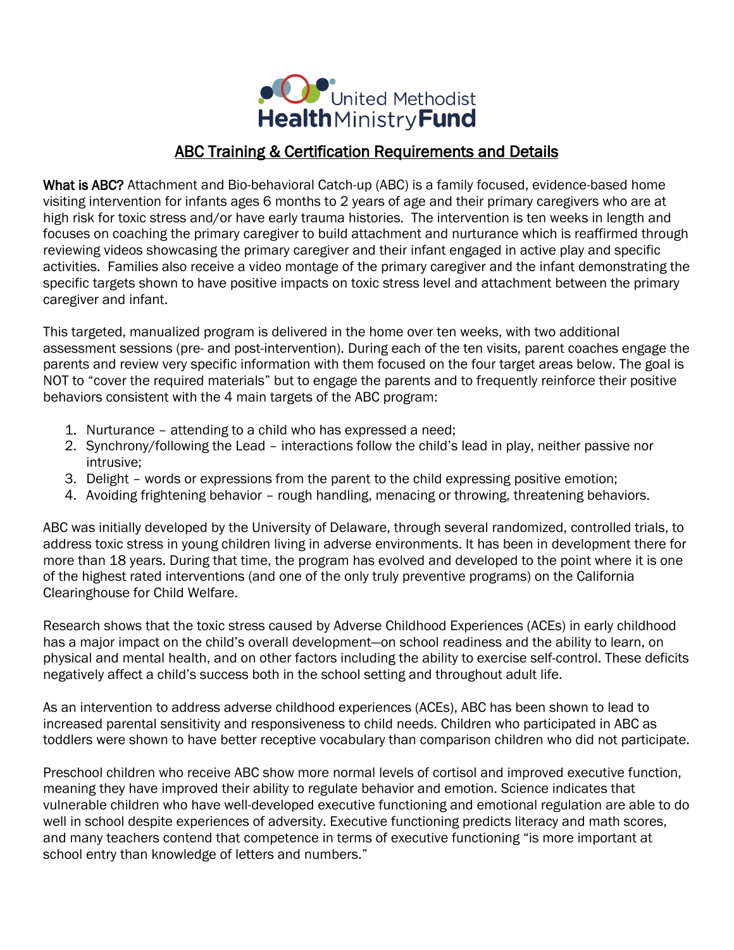

## ABC Training & Certification Requirements and Details

What is ABC? Attachment and Bio-behavioral Catch-up (ABC) is a family focused, evidence-based home visiting intervention for infants ages 6 months to 2 years of age and their primary caregivers who are at high risk for toxic stress and/or have early trauma histories. The intervention is ten weeks in length and focuses on coaching the primary caregiver to build attachment and nurturance which is reaffirmed through reviewing videos showcasing the primary caregiver and their infant engaged in active play and specific activities. Families also receive a video montage of the primary caregiver and the infant demonstrating the specific targets shown to have positive impacts on toxic stress level and attachment between the primary caregiver and infant.

This targeted, manualized program is delivered in the home over ten weeks, with two additional assessment sessions (pre- and post-intervention). During each of the ten visits, parent coaches engage the parents and review very specific information with them focused on the four target areas below. The goal is NOT to "cover the required materials" but to engage the parents and to frequently reinforce their positive behaviors consistent with the 4 main targets of the ABC program:

- 1. Nurturance attending to a child who has expressed a need;
- 2. Synchrony/following the Lead interactions follow the child's lead in play, neither passive nor intrusive;
- 3. Delight words or expressions from the parent to the child expressing positive emotion;
- 4. Avoiding frightening behavior rough handling, menacing or throwing, threatening behaviors.

ABC was initially developed by the University of Delaware, through several randomized, controlled trials, to address toxic stress in young children living in adverse environments. It has been in development there for more than 18 years. During that time, the program has evolved and developed to the point where it is one of the highest rated interventions (and one of the only truly preventive programs) on the California Clearinghouse for Child Welfare.

Research shows that the toxic stress caused by Adverse Childhood Experiences (ACEs) in early childhood has a major impact on the child's overall development—on school readiness and the ability to learn, on physical and mental health, and on other factors including the ability to exercise self-control. These deficits negatively affect a child's success both in the school setting and throughout adult life.

As an intervention to address adverse childhood experiences (ACEs), ABC has been shown to lead to increased parental sensitivity and responsiveness to child needs. Children who participated in ABC as toddlers were shown to have better receptive vocabulary than comparison children who did not participate.

Preschool children who receive ABC show more normal levels of cortisol and improved executive function, meaning they have improved their ability to regulate behavior and emotion. Science indicates that vulnerable children who have well-developed executive functioning and emotional regulation are able to do well in school despite experiences of adversity. Executive functioning predicts literacy and math scores, and many teachers contend that competence in terms of executive functioning "is more important at school entry than knowledge of letters and numbers."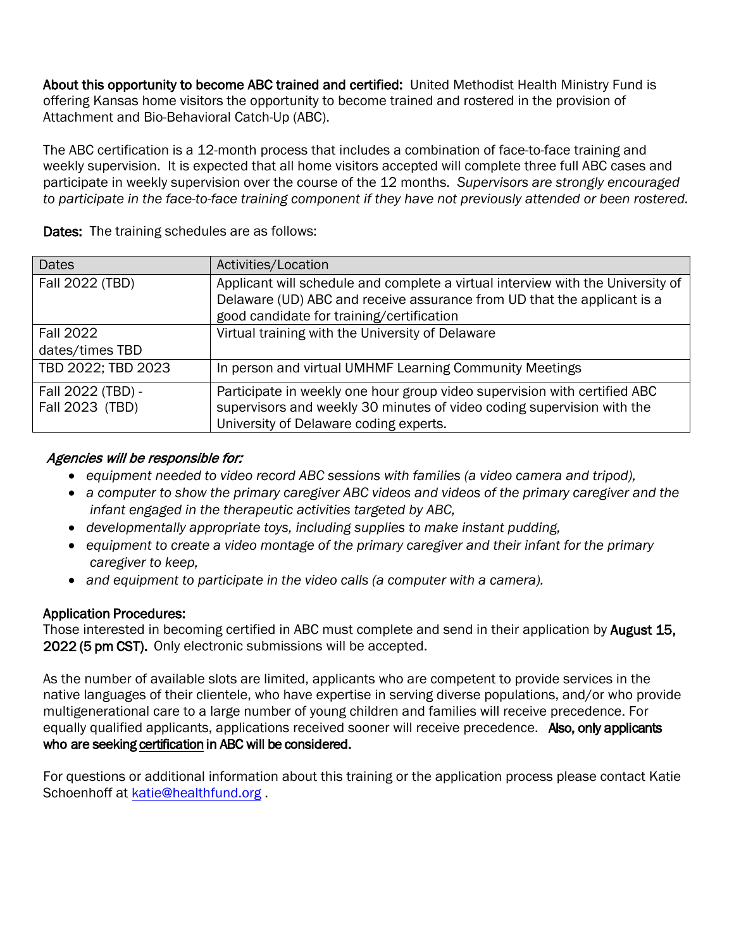About this opportunity to become ABC trained and certified: United Methodist Health Ministry Fund is offering Kansas home visitors the opportunity to become trained and rostered in the provision of Attachment and Bio-Behavioral Catch-Up (ABC).

The ABC certification is a 12-month process that includes a combination of face-to-face training and weekly supervision. It is expected that all home visitors accepted will complete three full ABC cases and participate in weekly supervision over the course of the 12 months. *Supervisors are strongly encouraged to participate in the face-to-face training component if they have not previously attended or been rostered.* 

| <b>Dates</b>       | Activities/Location                                                             |  |
|--------------------|---------------------------------------------------------------------------------|--|
| Fall 2022 (TBD)    | Applicant will schedule and complete a virtual interview with the University of |  |
|                    | Delaware (UD) ABC and receive assurance from UD that the applicant is a         |  |
|                    | good candidate for training/certification                                       |  |
| <b>Fall 2022</b>   | Virtual training with the University of Delaware                                |  |
| dates/times TBD    |                                                                                 |  |
| TBD 2022; TBD 2023 | In person and virtual UMHMF Learning Community Meetings                         |  |
| Fall 2022 (TBD) -  | Participate in weekly one hour group video supervision with certified ABC       |  |
| Fall 2023 (TBD)    | supervisors and weekly 30 minutes of video coding supervision with the          |  |
|                    | University of Delaware coding experts.                                          |  |

Dates: The training schedules are as follows:

## Agencies will be responsible for:

- *equipment needed to video record ABC sessions with families (a video camera and tripod),*
- *a computer to show the primary caregiver ABC videos and videos of the primary caregiver and the infant engaged in the therapeutic activities targeted by ABC,*
- *developmentally appropriate toys, including supplies to make instant pudding,*
- *equipment to create a video montage of the primary caregiver and their infant for the primary caregiver to keep,*
- *and equipment to participate in the video calls (a computer with a camera).*

## Application Procedures:

Those interested in becoming certified in ABC must complete and send in their application by **August 15,** 2022 (5 pm CST). Only electronic submissions will be accepted.

As the number of available slots are limited, applicants who are competent to provide services in the native languages of their clientele, who have expertise in serving diverse populations, and/or who provide multigenerational care to a large number of young children and families will receive precedence. For equally qualified applicants, applications received sooner will receive precedence. Also, only applicants who are seeking certification in ABC will be considered.

For questions or additional information about this training or the application process please contact Katie Schoenhoff at [katie@healthfund.org](mailto:katie@healthfund.org).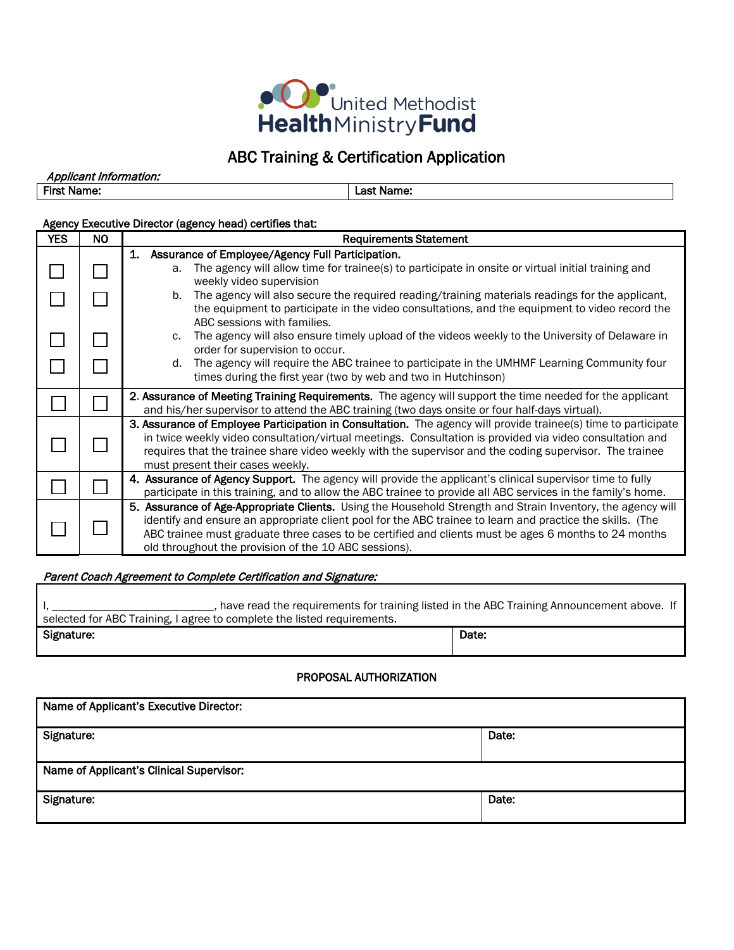

# ABC Training & Certification Application

Applicant Information: First Name:  $\vert$  Last Name:

### Agency Executive Director (agency head) certifies that:

| <b>YES</b> | NO. | <b>Requirements Statement</b>                                                                                                                                                                                                                                                                                                                                                             |  |
|------------|-----|-------------------------------------------------------------------------------------------------------------------------------------------------------------------------------------------------------------------------------------------------------------------------------------------------------------------------------------------------------------------------------------------|--|
|            |     | 1.<br>Assurance of Employee/Agency Full Participation.<br>The agency will allow time for trainee(s) to participate in onsite or virtual initial training and<br>a.<br>weekly video supervision                                                                                                                                                                                            |  |
|            |     | The agency will also secure the required reading/training materials readings for the applicant,<br>b.<br>the equipment to participate in the video consultations, and the equipment to video record the<br>ABC sessions with families.                                                                                                                                                    |  |
|            |     | The agency will also ensure timely upload of the videos weekly to the University of Delaware in<br>c.<br>order for supervision to occur.                                                                                                                                                                                                                                                  |  |
|            |     | The agency will require the ABC trainee to participate in the UMHMF Learning Community four<br>d.<br>times during the first year (two by web and two in Hutchinson)                                                                                                                                                                                                                       |  |
|            |     | 2. Assurance of Meeting Training Requirements. The agency will support the time needed for the applicant<br>and his/her supervisor to attend the ABC training (two days onsite or four half-days virtual).                                                                                                                                                                                |  |
|            |     | 3. Assurance of Employee Participation in Consultation. The agency will provide trainee(s) time to participate<br>in twice weekly video consultation/virtual meetings. Consultation is provided via video consultation and<br>requires that the trainee share video weekly with the supervisor and the coding supervisor. The trainee<br>must present their cases weekly.                 |  |
|            |     | 4. Assurance of Agency Support. The agency will provide the applicant's clinical supervisor time to fully<br>participate in this training, and to allow the ABC trainee to provide all ABC services in the family's home.                                                                                                                                                                 |  |
|            |     | 5. Assurance of Age-Appropriate Clients. Using the Household Strength and Strain Inventory, the agency will<br>identify and ensure an appropriate client pool for the ABC trainee to learn and practice the skills. (The<br>ABC trainee must graduate three cases to be certified and clients must be ages 6 months to 24 months<br>old throughout the provision of the 10 ABC sessions). |  |

#### Parent Coach Agreement to Complete Certification and Signature:

| have read the requirements for training listed in the ABC Training Announcement above. If |       |  |  |  |
|-------------------------------------------------------------------------------------------|-------|--|--|--|
| selected for ABC Training, I agree to complete the listed requirements.                   |       |  |  |  |
| Signature:                                                                                | Date: |  |  |  |

#### PROPOSAL AUTHORIZATION

| Name of Applicant's Executive Director:  |       |  |  |
|------------------------------------------|-------|--|--|
| Signature:                               | Date: |  |  |
| Name of Applicant's Clinical Supervisor: |       |  |  |
| Signature:                               | Date: |  |  |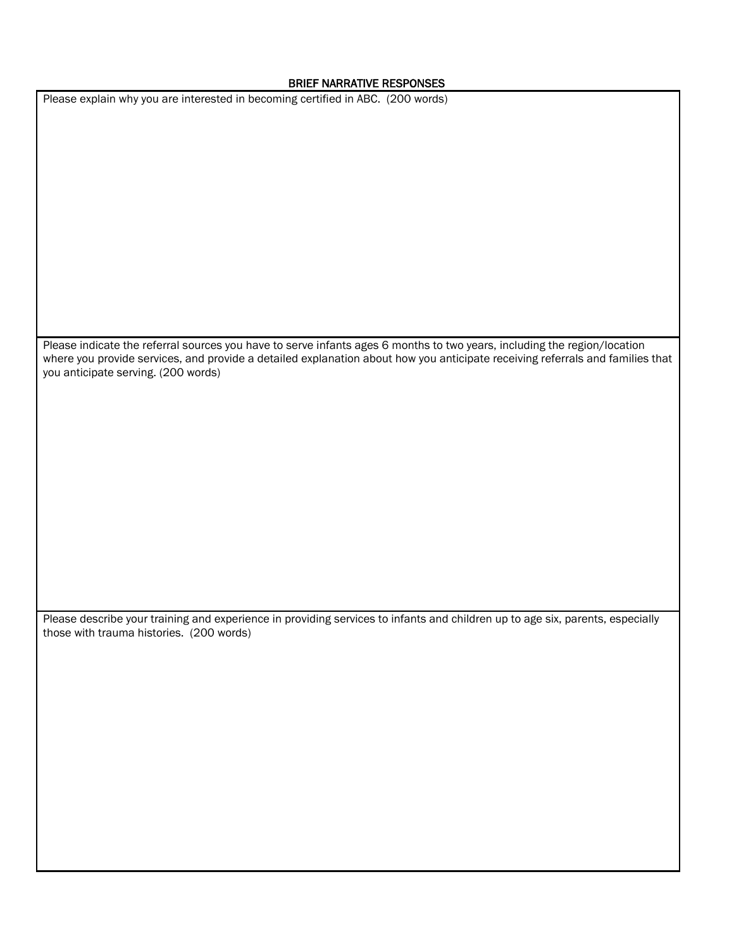#### BRIEF NARRATIVE RESPONSES

Please explain why you are interested in becoming certified in ABC. (200 words)

Please indicate the referral sources you have to serve infants ages 6 months to two years, including the region/location where you provide services, and provide a detailed explanation about how you anticipate receiving referrals and families that you anticipate serving. (200 words)

Please describe your training and experience in providing services to infants and children up to age six, parents, especially those with trauma histories. (200 words)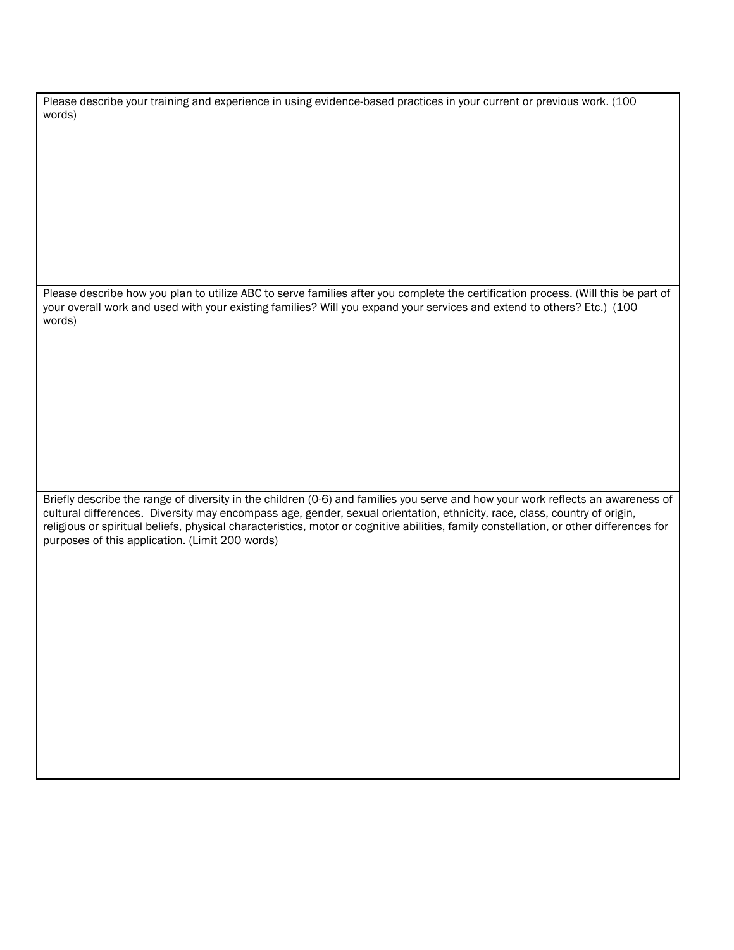Please describe your training and experience in using evidence-based practices in your current or previous work. (100 words)

Please describe how you plan to utilize ABC to serve families after you complete the certification process. (Will this be part of your overall work and used with your existing families? Will you expand your services and extend to others? Etc.) (100 words)

Briefly describe the range of diversity in the children (0-6) and families you serve and how your work reflects an awareness of cultural differences. Diversity may encompass age, gender, sexual orientation, ethnicity, race, class, country of origin, religious or spiritual beliefs, physical characteristics, motor or cognitive abilities, family constellation, or other differences for purposes of this application. (Limit 200 words)